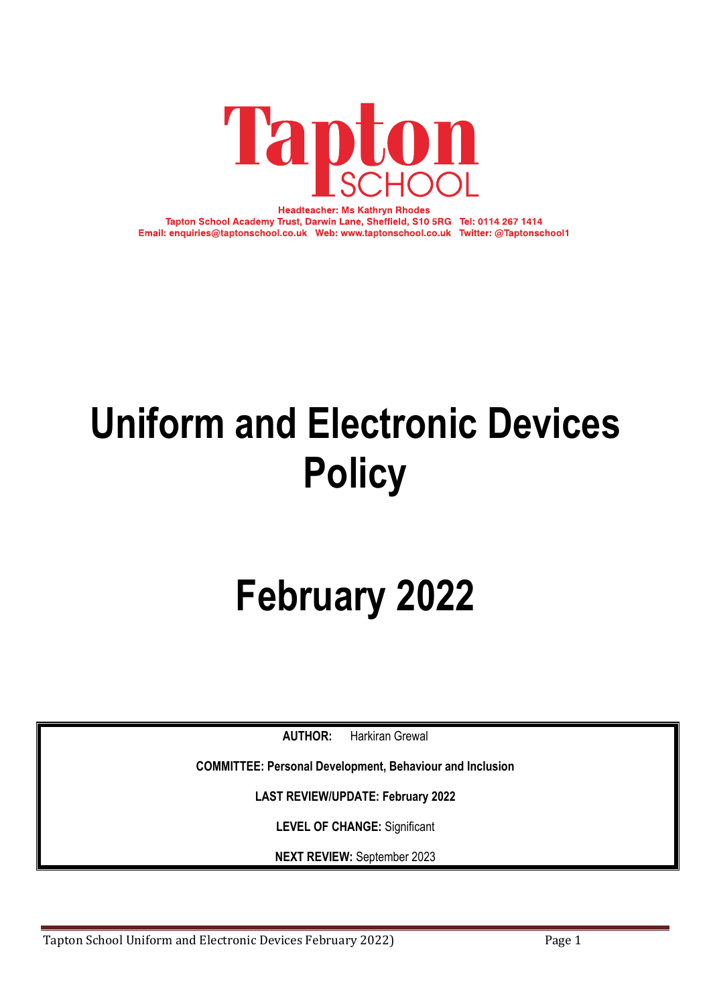

**Headteacher: Ms Kathryn Rhodes** Tapton School Academy Trust, Darwin Lane, Sheffield, S10 5RG Tel: 0114 267 1414 Email: enquiries@taptonschool.co.uk Web: www.taptonschool.co.uk Twitter: @Taptonschool1

## **Uniform and Electronic Devices Policy**

# **February 2022**

**AUTHOR:** Harkiran Grewal

**COMMITTEE: Personal Development, Behaviour and Inclusion**

**LAST REVIEW/UPDATE: February 2022**

**LEVEL OF CHANGE:** Significant

**NEXT REVIEW:** September 2023

Tapton School Uniform and Electronic Devices February 2022) Page 1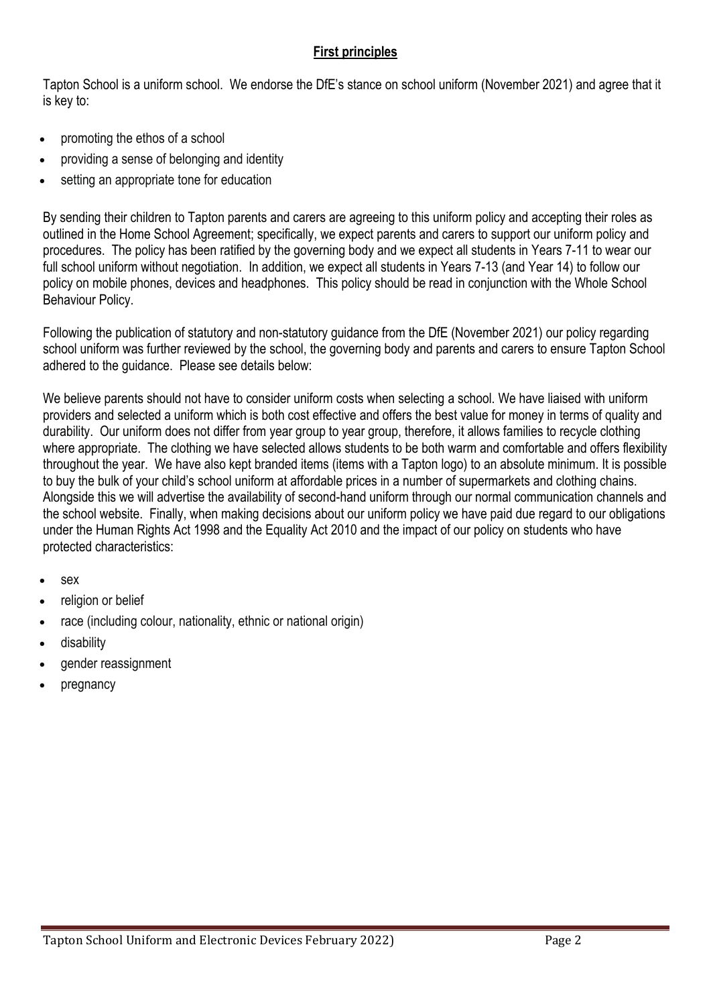### **First principles**

Tapton School is a uniform school. We endorse the DfE's stance on school uniform (November 2021) and agree that it is key to:

- promoting the ethos of a school
- providing a sense of belonging and identity
- setting an appropriate tone for education

By sending their children to Tapton parents and carers are agreeing to this uniform policy and accepting their roles as outlined in the Home School Agreement; specifically, we expect parents and carers to support our uniform policy and procedures. The policy has been ratified by the governing body and we expect all students in Years 7-11 to wear our full school uniform without negotiation. In addition, we expect all students in Years 7-13 (and Year 14) to follow our policy on mobile phones, devices and headphones. This policy should be read in conjunction with the Whole School Behaviour Policy.

Following the publication of statutory and non-statutory guidance from the DfE (November 2021) our policy regarding school uniform was further reviewed by the school, the governing body and parents and carers to ensure Tapton School adhered to the guidance. Please see details below:

We believe parents should not have to consider uniform costs when selecting a school. We have liaised with uniform providers and selected a uniform which is both cost effective and offers the best value for money in terms of quality and durability. Our uniform does not differ from year group to year group, therefore, it allows families to recycle clothing where appropriate. The clothing we have selected allows students to be both warm and comfortable and offers flexibility throughout the year. We have also kept branded items (items with a Tapton logo) to an absolute minimum. It is possible to buy the bulk of your child's school uniform at affordable prices in a number of supermarkets and clothing chains. Alongside this we will advertise the availability of second-hand uniform through our normal communication channels and the school website. Finally, when making decisions about our uniform policy we have paid due regard to our obligations under the Human Rights Act 1998 and the Equality Act 2010 and the impact of our policy on students who have protected characteristics:

- sex
- religion or belief
- race (including colour, nationality, ethnic or national origin)
- disability
- gender reassignment
- pregnancy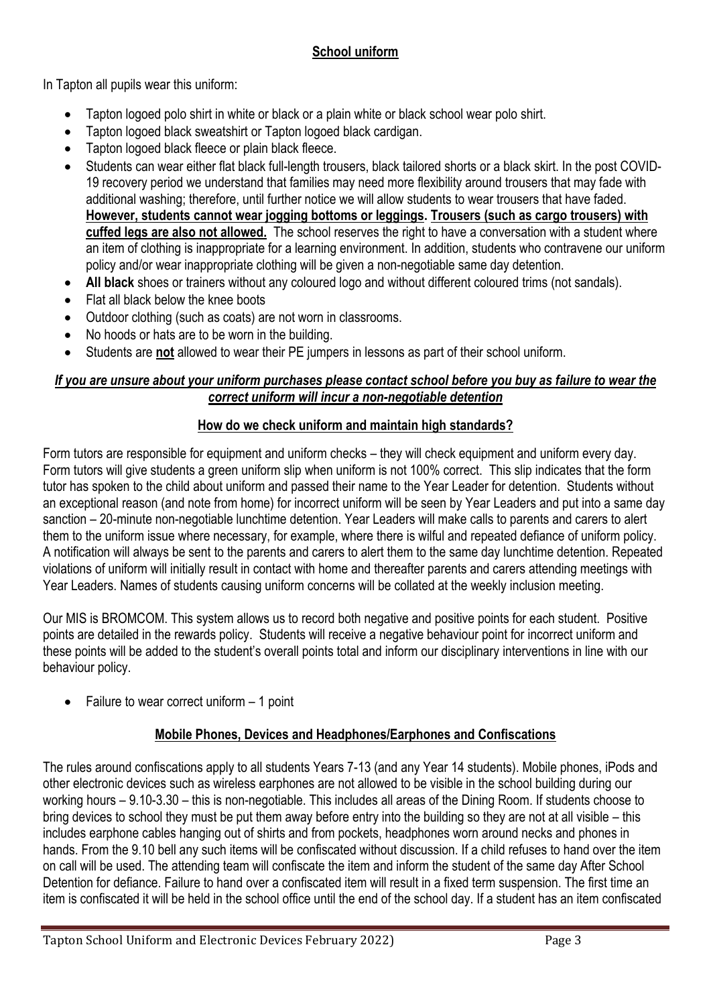## **School uniform**

In Tapton all pupils wear this uniform:

- Tapton logoed polo shirt in white or black or a plain white or black school wear polo shirt.
- Tapton logoed black sweatshirt or Tapton logoed black cardigan.
- Tapton logoed black fleece or plain black fleece.
- Students can wear either flat black full-length trousers, black tailored shorts or a black skirt. In the post COVID-19 recovery period we understand that families may need more flexibility around trousers that may fade with additional washing; therefore, until further notice we will allow students to wear trousers that have faded. **However, students cannot wear jogging bottoms or leggings. Trousers (such as cargo trousers) with cuffed legs are also not allowed.** The school reserves the right to have a conversation with a student where an item of clothing is inappropriate for a learning environment. In addition, students who contravene our uniform policy and/or wear inappropriate clothing will be given a non-negotiable same day detention.
- **All black** shoes or trainers without any coloured logo and without different coloured trims (not sandals).
- Flat all black below the knee boots
- Outdoor clothing (such as coats) are not worn in classrooms.
- No hoods or hats are to be worn in the building.
- Students are **not** allowed to wear their PE jumpers in lessons as part of their school uniform.

#### *If you are unsure about your uniform purchases please contact school before you buy as failure to wear the correct uniform will incur a non-negotiable detention*

## **How do we check uniform and maintain high standards?**

Form tutors are responsible for equipment and uniform checks – they will check equipment and uniform every day. Form tutors will give students a green uniform slip when uniform is not 100% correct. This slip indicates that the form tutor has spoken to the child about uniform and passed their name to the Year Leader for detention. Students without an exceptional reason (and note from home) for incorrect uniform will be seen by Year Leaders and put into a same day sanction – 20-minute non-negotiable lunchtime detention. Year Leaders will make calls to parents and carers to alert them to the uniform issue where necessary, for example, where there is wilful and repeated defiance of uniform policy. A notification will always be sent to the parents and carers to alert them to the same day lunchtime detention. Repeated violations of uniform will initially result in contact with home and thereafter parents and carers attending meetings with Year Leaders. Names of students causing uniform concerns will be collated at the weekly inclusion meeting.

Our MIS is BROMCOM. This system allows us to record both negative and positive points for each student. Positive points are detailed in the rewards policy. Students will receive a negative behaviour point for incorrect uniform and these points will be added to the student's overall points total and inform our disciplinary interventions in line with our behaviour policy.

• Failure to wear correct uniform  $-1$  point

## **Mobile Phones, Devices and Headphones/Earphones and Confiscations**

The rules around confiscations apply to all students Years 7-13 (and any Year 14 students). Mobile phones, iPods and other electronic devices such as wireless earphones are not allowed to be visible in the school building during our working hours – 9.10-3.30 – this is non-negotiable. This includes all areas of the Dining Room. If students choose to bring devices to school they must be put them away before entry into the building so they are not at all visible – this includes earphone cables hanging out of shirts and from pockets, headphones worn around necks and phones in hands. From the 9.10 bell any such items will be confiscated without discussion. If a child refuses to hand over the item on call will be used. The attending team will confiscate the item and inform the student of the same day After School Detention for defiance. Failure to hand over a confiscated item will result in a fixed term suspension. The first time an item is confiscated it will be held in the school office until the end of the school day. If a student has an item confiscated